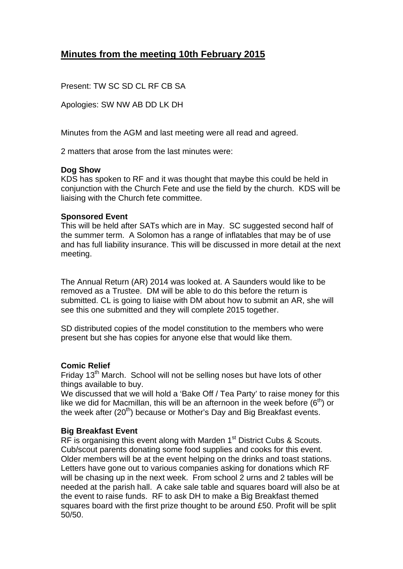# **Minutes from the meeting 10th February 2015**

Present: TW SC SD CL RF CB SA

Apologies: SW NW AB DD LK DH

Minutes from the AGM and last meeting were all read and agreed.

2 matters that arose from the last minutes were:

#### **Dog Show**

KDS has spoken to RF and it was thought that maybe this could be held in conjunction with the Church Fete and use the field by the church. KDS will be liaising with the Church fete committee.

#### **Sponsored Event**

This will be held after SATs which are in May. SC suggested second half of the summer term. A Solomon has a range of inflatables that may be of use and has full liability insurance. This will be discussed in more detail at the next meeting.

The Annual Return (AR) 2014 was looked at. A Saunders would like to be removed as a Trustee. DM will be able to do this before the return is submitted. CL is going to liaise with DM about how to submit an AR, she will see this one submitted and they will complete 2015 together.

SD distributed copies of the model constitution to the members who were present but she has copies for anyone else that would like them.

## **Comic Relief**

Friday 13<sup>th</sup> March. School will not be selling noses but have lots of other things available to buy.

We discussed that we will hold a 'Bake Off / Tea Party' to raise money for this like we did for Macmillan, this will be an afternoon in the week before  $(6<sup>th</sup>)$  or the week after  $(20<sup>th</sup>)$  because or Mother's Day and Big Breakfast events.

## **Big Breakfast Event**

RF is organising this event along with Marden  $1<sup>st</sup>$  District Cubs & Scouts. Cub/scout parents donating some food supplies and cooks for this event. Older members will be at the event helping on the drinks and toast stations. Letters have gone out to various companies asking for donations which RF will be chasing up in the next week. From school 2 urns and 2 tables will be needed at the parish hall. A cake sale table and squares board will also be at the event to raise funds. RF to ask DH to make a Big Breakfast themed squares board with the first prize thought to be around £50. Profit will be split 50/50.